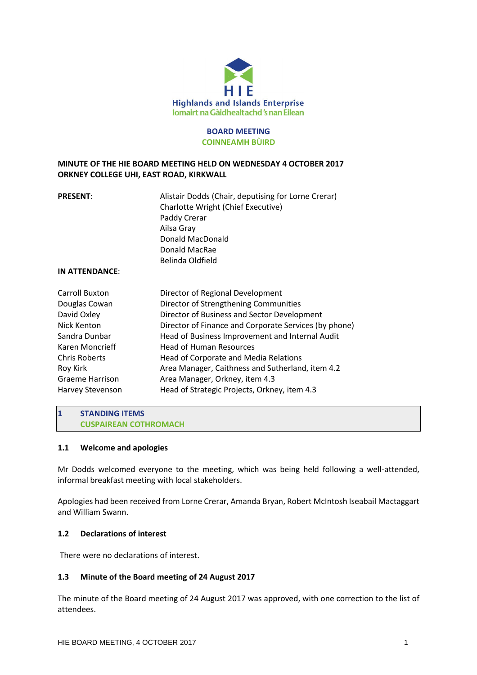

# **BOARD MEETING COINNEAMH BÙIRD**

# **MINUTE OF THE HIE BOARD MEETING HELD ON WEDNESDAY 4 OCTOBER 2017 ORKNEY COLLEGE UHI, EAST ROAD, KIRKWALL**

| <b>PRESENT:</b> | Alistair Dodds (Chair, deputising for Lorne Crerar) |
|-----------------|-----------------------------------------------------|
|                 | <b>Charlotte Wright (Chief Executive)</b>           |
|                 | Paddy Crerar                                        |
|                 | Ailsa Gray                                          |
|                 | Donald MacDonald                                    |
|                 | Donald MacRae                                       |
|                 | Belinda Oldfield                                    |
| IN ATTENDANCE:  |                                                     |

#### **IN ATTENDANCE**:

| Carroll Buxton         | Director of Regional Development                      |
|------------------------|-------------------------------------------------------|
|                        |                                                       |
| Douglas Cowan          | Director of Strengthening Communities                 |
| David Oxley            | Director of Business and Sector Development           |
| Nick Kenton            | Director of Finance and Corporate Services (by phone) |
| Sandra Dunbar          | Head of Business Improvement and Internal Audit       |
| Karen Moncrieff        | <b>Head of Human Resources</b>                        |
| <b>Chris Roberts</b>   | Head of Corporate and Media Relations                 |
| Roy Kirk               | Area Manager, Caithness and Sutherland, item 4.2      |
| <b>Graeme Harrison</b> | Area Manager, Orkney, item 4.3                        |
| Harvey Stevenson       | Head of Strategic Projects, Orkney, item 4.3          |

## **1 STANDING ITEMS CUSPAIREAN COTHROMACH**

#### **1.1 Welcome and apologies**

Mr Dodds welcomed everyone to the meeting, which was being held following a well-attended, informal breakfast meeting with local stakeholders.

Apologies had been received from Lorne Crerar, Amanda Bryan, Robert McIntosh Iseabail Mactaggart and William Swann.

# **1.2 Declarations of interest**

There were no declarations of interest.

#### **1.3 Minute of the Board meeting of 24 August 2017**

The minute of the Board meeting of 24 August 2017 was approved, with one correction to the list of attendees.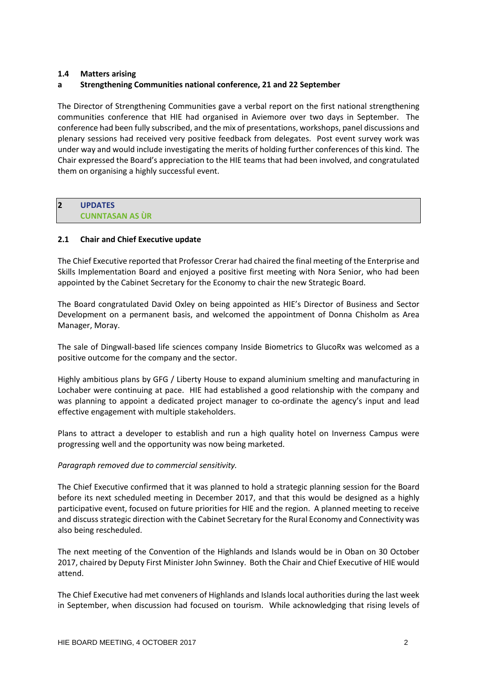# **1.4 Matters arising**

## **a Strengthening Communities national conference, 21 and 22 September**

The Director of Strengthening Communities gave a verbal report on the first national strengthening communities conference that HIE had organised in Aviemore over two days in September. The conference had been fully subscribed, and the mix of presentations, workshops, panel discussions and plenary sessions had received very positive feedback from delegates. Post event survey work was under way and would include investigating the merits of holding further conferences of this kind. The Chair expressed the Board's appreciation to the HIE teams that had been involved, and congratulated them on organising a highly successful event.

# **2 UPDATES CUNNTASAN AS ÙR**

# **2.1 Chair and Chief Executive update**

The Chief Executive reported that Professor Crerar had chaired the final meeting of the Enterprise and Skills Implementation Board and enjoyed a positive first meeting with Nora Senior, who had been appointed by the Cabinet Secretary for the Economy to chair the new Strategic Board.

The Board congratulated David Oxley on being appointed as HIE's Director of Business and Sector Development on a permanent basis, and welcomed the appointment of Donna Chisholm as Area Manager, Moray.

The sale of Dingwall-based life sciences company Inside Biometrics to GlucoRx was welcomed as a positive outcome for the company and the sector.

Highly ambitious plans by GFG / Liberty House to expand aluminium smelting and manufacturing in Lochaber were continuing at pace. HIE had established a good relationship with the company and was planning to appoint a dedicated project manager to co-ordinate the agency's input and lead effective engagement with multiple stakeholders.

Plans to attract a developer to establish and run a high quality hotel on Inverness Campus were progressing well and the opportunity was now being marketed.

#### *Paragraph removed due to commercial sensitivity.*

The Chief Executive confirmed that it was planned to hold a strategic planning session for the Board before its next scheduled meeting in December 2017, and that this would be designed as a highly participative event, focused on future priorities for HIE and the region. A planned meeting to receive and discuss strategic direction with the Cabinet Secretary for the Rural Economy and Connectivity was also being rescheduled.

The next meeting of the Convention of the Highlands and Islands would be in Oban on 30 October 2017, chaired by Deputy First Minister John Swinney. Both the Chair and Chief Executive of HIE would attend.

The Chief Executive had met conveners of Highlands and Islands local authorities during the last week in September, when discussion had focused on tourism. While acknowledging that rising levels of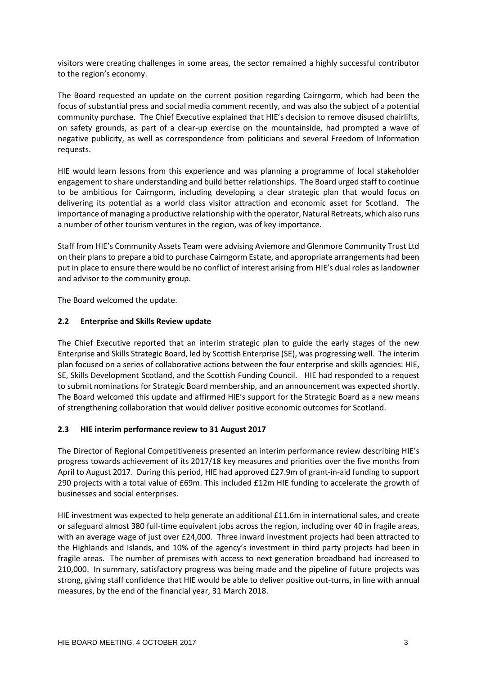visitors were creating challenges in some areas, the sector remained a highly successful contributor to the region's economy.

The Board requested an update on the current position regarding Cairngorm, which had been the focus of substantial press and social media comment recently, and was also the subject of a potential community purchase. The Chief Executive explained that HIE's decision to remove disused chairlifts, on safety grounds, as part of a clear-up exercise on the mountainside, had prompted a wave of negative publicity, as well as correspondence from politicians and several Freedom of Information requests.

HIE would learn lessons from this experience and was planning a programme of local stakeholder engagement to share understanding and build better relationships. The Board urged staff to continue to be ambitious for Cairngorm, including developing a clear strategic plan that would focus on delivering its potential as a world class visitor attraction and economic asset for Scotland. The importance of managing a productive relationship with the operator, Natural Retreats, which also runs a number of other tourism ventures in the region, was of key importance.

Staff from HIE's Community Assets Team were advising Aviemore and Glenmore Community Trust Ltd on their plansto prepare a bid to purchase Cairngorm Estate, and appropriate arrangements had been put in place to ensure there would be no conflict of interest arising from HIE's dual roles as landowner and advisor to the community group.

The Board welcomed the update.

# **2.2 Enterprise and Skills Review update**

The Chief Executive reported that an interim strategic plan to guide the early stages of the new Enterprise and Skills Strategic Board, led by Scottish Enterprise (SE), was progressing well. The interim plan focused on a series of collaborative actions between the four enterprise and skills agencies: HIE, SE, Skills Development Scotland, and the Scottish Funding Council. HIE had responded to a request to submit nominations for Strategic Board membership, and an announcement was expected shortly. The Board welcomed this update and affirmed HIE's support for the Strategic Board as a new means of strengthening collaboration that would deliver positive economic outcomes for Scotland.

# **2.3 HIE interim performance review to 31 August 2017**

The Director of Regional Competitiveness presented an interim performance review describing HIE's progress towards achievement of its 2017/18 key measures and priorities over the five months from April to August 2017. During this period, HIE had approved £27.9m of grant-in-aid funding to support 290 projects with a total value of £69m. This included £12m HIE funding to accelerate the growth of businesses and social enterprises.

HIE investment was expected to help generate an additional £11.6m in international sales, and create or safeguard almost 380 full-time equivalent jobs across the region, including over 40 in fragile areas, with an average wage of just over £24,000. Three inward investment projects had been attracted to the Highlands and Islands, and 10% of the agency's investment in third party projects had been in fragile areas. The number of premises with access to next generation broadband had increased to 210,000. In summary, satisfactory progress was being made and the pipeline of future projects was strong, giving staff confidence that HIE would be able to deliver positive out-turns, in line with annual measures, by the end of the financial year, 31 March 2018.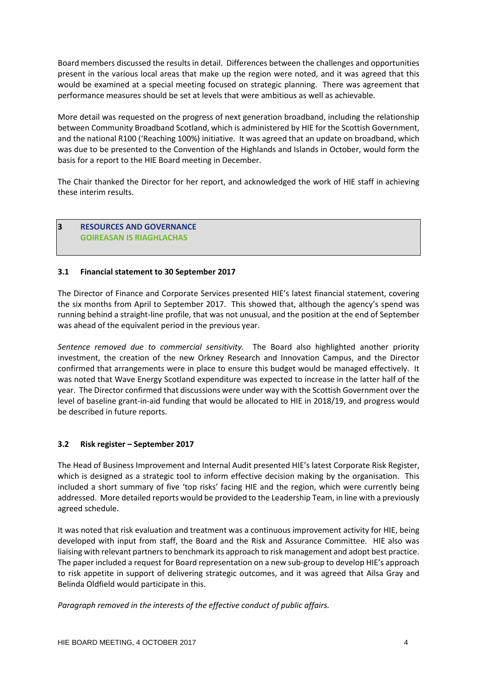Board members discussed the results in detail. Differences between the challenges and opportunities present in the various local areas that make up the region were noted, and it was agreed that this would be examined at a special meeting focused on strategic planning. There was agreement that performance measures should be set at levels that were ambitious as well as achievable.

More detail was requested on the progress of next generation broadband, including the relationship between Community Broadband Scotland, which is administered by HIE for the Scottish Government, and the national R100 ('Reaching 100%) initiative. It was agreed that an update on broadband, which was due to be presented to the Convention of the Highlands and Islands in October, would form the basis for a report to the HIE Board meeting in December.

The Chair thanked the Director for her report, and acknowledged the work of HIE staff in achieving these interim results.

# **3 RESOURCES AND GOVERNANCE GOIREASAN IS RIAGHLACHAS**

# **3.1 Financial statement to 30 September 2017**

The Director of Finance and Corporate Services presented HIE's latest financial statement, covering the six months from April to September 2017. This showed that, although the agency's spend was running behind a straight-line profile, that was not unusual, and the position at the end of September was ahead of the equivalent period in the previous year.

*Sentence removed due to commercial sensitivity.* The Board also highlighted another priority investment, the creation of the new Orkney Research and Innovation Campus, and the Director confirmed that arrangements were in place to ensure this budget would be managed effectively. It was noted that Wave Energy Scotland expenditure was expected to increase in the latter half of the year. The Director confirmed that discussions were under way with the Scottish Government over the level of baseline grant-in-aid funding that would be allocated to HIE in 2018/19, and progress would be described in future reports.

# **3.2 Risk register – September 2017**

The Head of Business Improvement and Internal Audit presented HIE's latest Corporate Risk Register, which is designed as a strategic tool to inform effective decision making by the organisation. This included a short summary of five 'top risks' facing HIE and the region, which were currently being addressed. More detailed reports would be provided to the Leadership Team, in line with a previously agreed schedule.

It was noted that risk evaluation and treatment was a continuous improvement activity for HIE, being developed with input from staff, the Board and the Risk and Assurance Committee. HIE also was liaising with relevant partnersto benchmark its approach to risk management and adopt best practice. The paper included a request for Board representation on a new sub-group to develop HIE's approach to risk appetite in support of delivering strategic outcomes, and it was agreed that Ailsa Gray and Belinda Oldfield would participate in this.

*Paragraph removed in the interests of the effective conduct of public affairs.*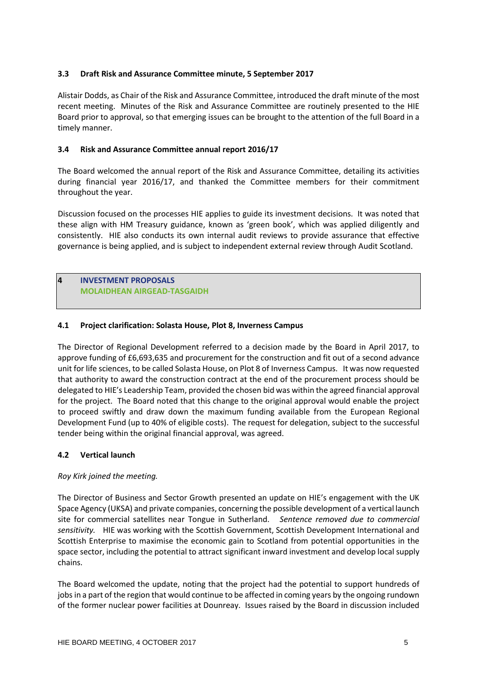# **3.3 Draft Risk and Assurance Committee minute, 5 September 2017**

Alistair Dodds, as Chair of the Risk and Assurance Committee, introduced the draft minute of the most recent meeting. Minutes of the Risk and Assurance Committee are routinely presented to the HIE Board prior to approval, so that emerging issues can be brought to the attention of the full Board in a timely manner.

# **3.4 Risk and Assurance Committee annual report 2016/17**

The Board welcomed the annual report of the Risk and Assurance Committee, detailing its activities during financial year 2016/17, and thanked the Committee members for their commitment throughout the year.

Discussion focused on the processes HIE applies to guide its investment decisions. It was noted that these align with HM Treasury guidance, known as 'green book', which was applied diligently and consistently. HIE also conducts its own internal audit reviews to provide assurance that effective governance is being applied, and is subject to independent external review through Audit Scotland.

# **4 INVESTMENT PROPOSALS MOLAIDHEAN AIRGEAD-TASGAIDH**

# **4.1 Project clarification: Solasta House, Plot 8, Inverness Campus**

The Director of Regional Development referred to a decision made by the Board in April 2017, to approve funding of £6,693,635 and procurement for the construction and fit out of a second advance unit for life sciences, to be called Solasta House, on Plot 8 of Inverness Campus. It was now requested that authority to award the construction contract at the end of the procurement process should be delegated to HIE's Leadership Team, provided the chosen bid was within the agreed financial approval for the project. The Board noted that this change to the original approval would enable the project to proceed swiftly and draw down the maximum funding available from the European Regional Development Fund (up to 40% of eligible costs). The request for delegation, subject to the successful tender being within the original financial approval, was agreed.

#### **4.2 Vertical launch**

#### *Roy Kirk joined the meeting.*

The Director of Business and Sector Growth presented an update on HIE's engagement with the UK Space Agency (UKSA) and private companies, concerning the possible development of a vertical launch site for commercial satellites near Tongue in Sutherland. *Sentence removed due to commercial sensitivity.* HIE was working with the Scottish Government, Scottish Development International and Scottish Enterprise to maximise the economic gain to Scotland from potential opportunities in the space sector, including the potential to attract significant inward investment and develop local supply chains.

The Board welcomed the update, noting that the project had the potential to support hundreds of jobs in a part of the region that would continue to be affected in coming years by the ongoing rundown of the former nuclear power facilities at Dounreay. Issues raised by the Board in discussion included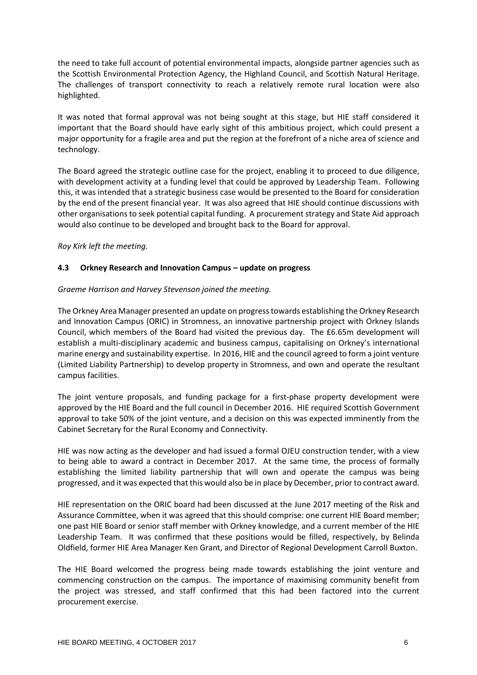the need to take full account of potential environmental impacts, alongside partner agencies such as the Scottish Environmental Protection Agency, the Highland Council, and Scottish Natural Heritage. The challenges of transport connectivity to reach a relatively remote rural location were also highlighted.

It was noted that formal approval was not being sought at this stage, but HIE staff considered it important that the Board should have early sight of this ambitious project, which could present a major opportunity for a fragile area and put the region at the forefront of a niche area of science and technology.

The Board agreed the strategic outline case for the project, enabling it to proceed to due diligence, with development activity at a funding level that could be approved by Leadership Team. Following this, it was intended that a strategic business case would be presented to the Board for consideration by the end of the present financial year. It was also agreed that HIE should continue discussions with other organisations to seek potential capital funding. A procurement strategy and State Aid approach would also continue to be developed and brought back to the Board for approval.

*Roy Kirk left the meeting.*

# **4.3 Orkney Research and Innovation Campus – update on progress**

# *Graeme Harrison and Harvey Stevenson joined the meeting.*

The Orkney Area Manager presented an update on progresstowards establishing the Orkney Research and Innovation Campus (ORIC) in Stromness, an innovative partnership project with Orkney Islands Council, which members of the Board had visited the previous day. The £6.65m development will establish a multi-disciplinary academic and business campus, capitalising on Orkney's international marine energy and sustainability expertise. In 2016, HIE and the council agreed to form a joint venture (Limited Liability Partnership) to develop property in Stromness, and own and operate the resultant campus facilities.

The joint venture proposals, and funding package for a first-phase property development were approved by the HIE Board and the full council in December 2016. HIE required Scottish Government approval to take 50% of the joint venture, and a decision on this was expected imminently from the Cabinet Secretary for the Rural Economy and Connectivity.

HIE was now acting as the developer and had issued a formal OJEU construction tender, with a view to being able to award a contract in December 2017. At the same time, the process of formally establishing the limited liability partnership that will own and operate the campus was being progressed, and it was expected that this would also be in place by December, prior to contract award.

HIE representation on the ORIC board had been discussed at the June 2017 meeting of the Risk and Assurance Committee, when it was agreed that this should comprise: one current HIE Board member; one past HIE Board or senior staff member with Orkney knowledge, and a current member of the HIE Leadership Team. It was confirmed that these positions would be filled, respectively, by Belinda Oldfield, former HIE Area Manager Ken Grant, and Director of Regional Development Carroll Buxton.

The HIE Board welcomed the progress being made towards establishing the joint venture and commencing construction on the campus. The importance of maximising community benefit from the project was stressed, and staff confirmed that this had been factored into the current procurement exercise.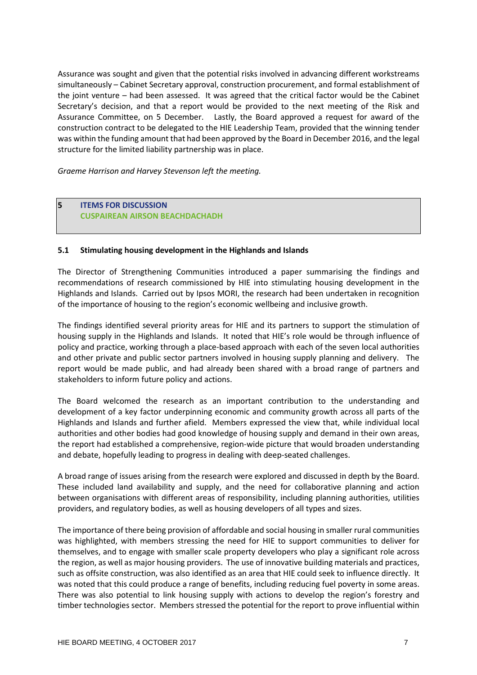Assurance was sought and given that the potential risks involved in advancing different workstreams simultaneously – Cabinet Secretary approval, construction procurement, and formal establishment of the joint venture – had been assessed. It was agreed that the critical factor would be the Cabinet Secretary's decision, and that a report would be provided to the next meeting of the Risk and Assurance Committee, on 5 December. Lastly, the Board approved a request for award of the construction contract to be delegated to the HIE Leadership Team, provided that the winning tender was within the funding amount that had been approved by the Board in December 2016, and the legal structure for the limited liability partnership was in place.

*Graeme Harrison and Harvey Stevenson left the meeting.*

# **5 ITEMS FOR DISCUSSION CUSPAIREAN AIRSON BEACHDACHADH**

#### **5.1 Stimulating housing development in the Highlands and Islands**

The Director of Strengthening Communities introduced a paper summarising the findings and recommendations of research commissioned by HIE into stimulating housing development in the Highlands and Islands. Carried out by Ipsos MORI, the research had been undertaken in recognition of the importance of housing to the region's economic wellbeing and inclusive growth.

The findings identified several priority areas for HIE and its partners to support the stimulation of housing supply in the Highlands and Islands. It noted that HIE's role would be through influence of policy and practice, working through a place-based approach with each of the seven local authorities and other private and public sector partners involved in housing supply planning and delivery. The report would be made public, and had already been shared with a broad range of partners and stakeholders to inform future policy and actions.

The Board welcomed the research as an important contribution to the understanding and development of a key factor underpinning economic and community growth across all parts of the Highlands and Islands and further afield. Members expressed the view that, while individual local authorities and other bodies had good knowledge of housing supply and demand in their own areas, the report had established a comprehensive, region-wide picture that would broaden understanding and debate, hopefully leading to progress in dealing with deep-seated challenges.

A broad range of issues arising from the research were explored and discussed in depth by the Board. These included land availability and supply, and the need for collaborative planning and action between organisations with different areas of responsibility, including planning authorities, utilities providers, and regulatory bodies, as well as housing developers of all types and sizes.

The importance of there being provision of affordable and social housing in smaller rural communities was highlighted, with members stressing the need for HIE to support communities to deliver for themselves, and to engage with smaller scale property developers who play a significant role across the region, as well as major housing providers. The use of innovative building materials and practices, such as offsite construction, was also identified as an area that HIE could seek to influence directly. It was noted that this could produce a range of benefits, including reducing fuel poverty in some areas. There was also potential to link housing supply with actions to develop the region's forestry and timber technologies sector. Members stressed the potential for the report to prove influential within